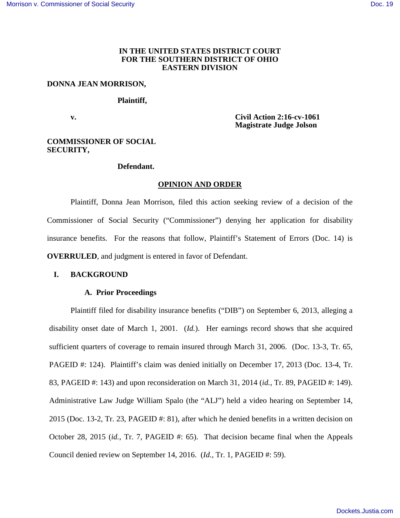## **IN THE UNITED STATES DISTRICT COURT FOR THE SOUTHERN DISTRICT OF OHIO EASTERN DIVISION**

#### **DONNA JEAN MORRISON,**

#### **Plaintiff,**

**v.** Civil Action 2:16-cv-1061  **Magistrate Judge Jolson** 

## **COMMISSIONER OF SOCIAL SECURITY,**

## **Defendant.**

#### **OPINION AND ORDER**

Plaintiff, Donna Jean Morrison, filed this action seeking review of a decision of the Commissioner of Social Security ("Commissioner") denying her application for disability insurance benefits. For the reasons that follow, Plaintiff's Statement of Errors (Doc. 14) is **OVERRULED**, and judgment is entered in favor of Defendant.

# **I. BACKGROUND**

## **A. Prior Proceedings**

Plaintiff filed for disability insurance benefits ("DIB") on September 6, 2013, alleging a disability onset date of March 1, 2001. (*Id.*). Her earnings record shows that she acquired sufficient quarters of coverage to remain insured through March 31, 2006. (Doc. 13-3, Tr. 65, PAGEID #: 124). Plaintiff's claim was denied initially on December 17, 2013 (Doc. 13-4, Tr. 83, PAGEID #: 143) and upon reconsideration on March 31, 2014 (*id.*, Tr. 89, PAGEID #: 149). Administrative Law Judge William Spalo (the "ALJ") held a video hearing on September 14, 2015 (Doc. 13-2, Tr. 23, PAGEID #: 81), after which he denied benefits in a written decision on October 28, 2015 (*id.*, Tr. 7, PAGEID #: 65). That decision became final when the Appeals Council denied review on September 14, 2016. (*Id.*, Tr. 1, PAGEID #: 59).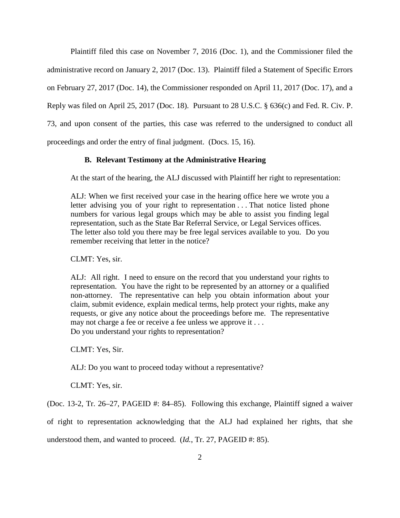Plaintiff filed this case on November 7, 2016 (Doc. 1), and the Commissioner filed the administrative record on January 2, 2017 (Doc. 13). Plaintiff filed a Statement of Specific Errors on February 27, 2017 (Doc. 14), the Commissioner responded on April 11, 2017 (Doc. 17), and a Reply was filed on April 25, 2017 (Doc. 18). Pursuant to 28 U.S.C. § 636(c) and Fed. R. Civ. P. 73, and upon consent of the parties, this case was referred to the undersigned to conduct all proceedings and order the entry of final judgment. (Docs. 15, 16).

# **B. Relevant Testimony at the Administrative Hearing**

At the start of the hearing, the ALJ discussed with Plaintiff her right to representation:

ALJ: When we first received your case in the hearing office here we wrote you a letter advising you of your right to representation . . . That notice listed phone numbers for various legal groups which may be able to assist you finding legal representation, such as the State Bar Referral Service, or Legal Services offices. The letter also told you there may be free legal services available to you. Do you remember receiving that letter in the notice?

CLMT: Yes, sir.

ALJ: All right. I need to ensure on the record that you understand your rights to representation. You have the right to be represented by an attorney or a qualified non-attorney. The representative can help you obtain information about your claim, submit evidence, explain medical terms, help protect your rights, make any requests, or give any notice about the proceedings before me. The representative may not charge a fee or receive a fee unless we approve it . . . Do you understand your rights to representation?

CLMT: Yes, Sir.

ALJ: Do you want to proceed today without a representative?

CLMT: Yes, sir.

(Doc. 13-2, Tr. 26–27, PAGEID #: 84–85). Following this exchange, Plaintiff signed a waiver

of right to representation acknowledging that the ALJ had explained her rights, that she understood them, and wanted to proceed. (*Id.*, Tr. 27, PAGEID #: 85).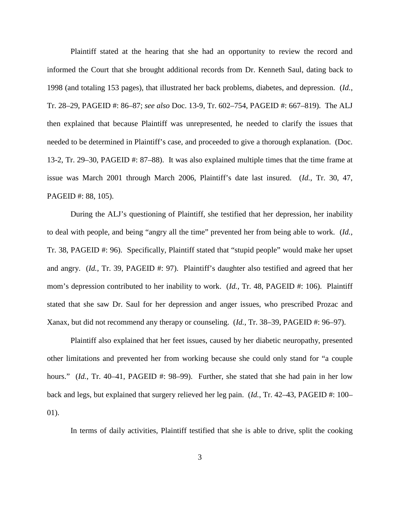Plaintiff stated at the hearing that she had an opportunity to review the record and informed the Court that she brought additional records from Dr. Kenneth Saul, dating back to 1998 (and totaling 153 pages), that illustrated her back problems, diabetes, and depression. (*Id.*, Tr. 28–29, PAGEID #: 86–87; *see also* Doc. 13-9, Tr. 602–754, PAGEID #: 667–819). The ALJ then explained that because Plaintiff was unrepresented, he needed to clarify the issues that needed to be determined in Plaintiff's case, and proceeded to give a thorough explanation. (Doc. 13-2, Tr. 29–30, PAGEID #: 87–88). It was also explained multiple times that the time frame at issue was March 2001 through March 2006, Plaintiff's date last insured. (*Id.*, Tr. 30, 47, PAGEID #: 88, 105).

During the ALJ's questioning of Plaintiff, she testified that her depression, her inability to deal with people, and being "angry all the time" prevented her from being able to work. (*Id.*, Tr. 38, PAGEID #: 96). Specifically, Plaintiff stated that "stupid people" would make her upset and angry. (*Id.*, Tr. 39, PAGEID #: 97). Plaintiff's daughter also testified and agreed that her mom's depression contributed to her inability to work. (*Id.*, Tr. 48, PAGEID #: 106). Plaintiff stated that she saw Dr. Saul for her depression and anger issues, who prescribed Prozac and Xanax, but did not recommend any therapy or counseling. (*Id.*, Tr. 38–39, PAGEID #: 96–97).

Plaintiff also explained that her feet issues, caused by her diabetic neuropathy, presented other limitations and prevented her from working because she could only stand for "a couple hours." (*Id.*, Tr. 40–41, PAGEID #: 98–99). Further, she stated that she had pain in her low back and legs, but explained that surgery relieved her leg pain. (*Id.*, Tr. 42–43, PAGEID #: 100– 01).

In terms of daily activities, Plaintiff testified that she is able to drive, split the cooking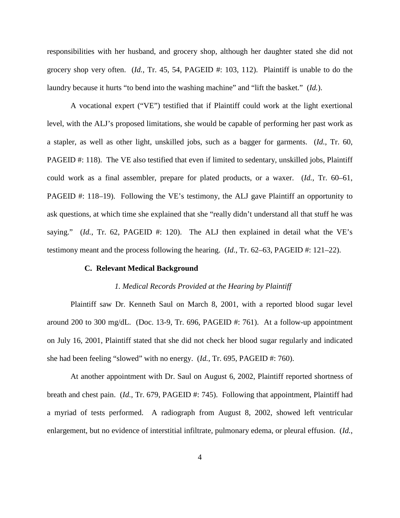responsibilities with her husband, and grocery shop, although her daughter stated she did not grocery shop very often. (*Id.*, Tr. 45, 54, PAGEID #: 103, 112). Plaintiff is unable to do the laundry because it hurts "to bend into the washing machine" and "lift the basket." (*Id.*).

A vocational expert ("VE") testified that if Plaintiff could work at the light exertional level, with the ALJ's proposed limitations, she would be capable of performing her past work as a stapler, as well as other light, unskilled jobs, such as a bagger for garments. (*Id.*, Tr. 60, PAGEID #: 118). The VE also testified that even if limited to sedentary, unskilled jobs, Plaintiff could work as a final assembler, prepare for plated products, or a waxer. (*Id.*, Tr. 60–61, PAGEID #: 118–19). Following the VE's testimony, the ALJ gave Plaintiff an opportunity to ask questions, at which time she explained that she "really didn't understand all that stuff he was saying."  $(Id., Tr. 62, PAGEID #: 120)$ . The ALJ then explained in detail what the VE's testimony meant and the process following the hearing. (*Id.*, Tr. 62–63, PAGEID #: 121–22).

## **C. Relevant Medical Background**

#### *1. Medical Records Provided at the Hearing by Plaintiff*

Plaintiff saw Dr. Kenneth Saul on March 8, 2001, with a reported blood sugar level around 200 to 300 mg/dL. (Doc. 13-9, Tr. 696, PAGEID #: 761). At a follow-up appointment on July 16, 2001, Plaintiff stated that she did not check her blood sugar regularly and indicated she had been feeling "slowed" with no energy. (*Id.*, Tr. 695, PAGEID #: 760).

At another appointment with Dr. Saul on August 6, 2002, Plaintiff reported shortness of breath and chest pain. (*Id.*, Tr. 679, PAGEID #: 745). Following that appointment, Plaintiff had a myriad of tests performed. A radiograph from August 8, 2002, showed left ventricular enlargement, but no evidence of interstitial infiltrate, pulmonary edema, or pleural effusion. (*Id.*,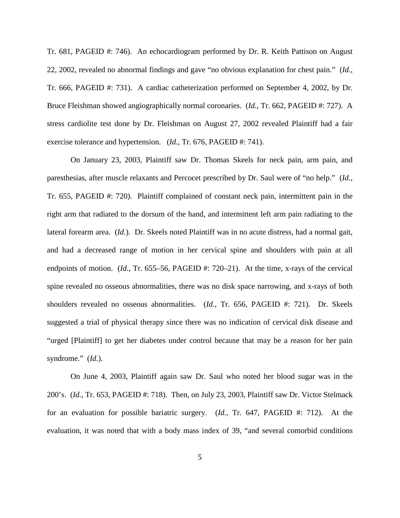Tr. 681, PAGEID #: 746). An echocardiogram performed by Dr. R. Keith Pattison on August 22, 2002, revealed no abnormal findings and gave "no obvious explanation for chest pain." (*Id.*, Tr. 666, PAGEID #: 731). A cardiac catheterization performed on September 4, 2002, by Dr. Bruce Fleishman showed angiographically normal coronaries. (*Id.*, Tr. 662, PAGEID #: 727). A stress cardiolite test done by Dr. Fleishman on August 27, 2002 revealed Plaintiff had a fair exercise tolerance and hypertension. (*Id.*, Tr. 676, PAGEID #: 741).

On January 23, 2003, Plaintiff saw Dr. Thomas Skeels for neck pain, arm pain, and paresthesias, after muscle relaxants and Percocet prescribed by Dr. Saul were of "no help." (*Id.*, Tr. 655, PAGEID #: 720). Plaintiff complained of constant neck pain, intermittent pain in the right arm that radiated to the dorsum of the hand, and intermittent left arm pain radiating to the lateral forearm area. (*Id.*). Dr. Skeels noted Plaintiff was in no acute distress, had a normal gait, and had a decreased range of motion in her cervical spine and shoulders with pain at all endpoints of motion. (*Id.*, Tr. 655–56, PAGEID #: 720–21). At the time, x-rays of the cervical spine revealed no osseous abnormalities, there was no disk space narrowing, and x-rays of both shoulders revealed no osseous abnormalities. (*Id.*, Tr. 656, PAGEID #: 721). Dr. Skeels suggested a trial of physical therapy since there was no indication of cervical disk disease and "urged [Plaintiff] to get her diabetes under control because that may be a reason for her pain syndrome." (*Id.*).

On June 4, 2003, Plaintiff again saw Dr. Saul who noted her blood sugar was in the 200's. (*Id.*, Tr. 653, PAGEID #: 718). Then, on July 23, 2003, Plaintiff saw Dr. Victor Stelmack for an evaluation for possible bariatric surgery. (*Id.*, Tr. 647, PAGEID #: 712). At the evaluation, it was noted that with a body mass index of 39, "and several comorbid conditions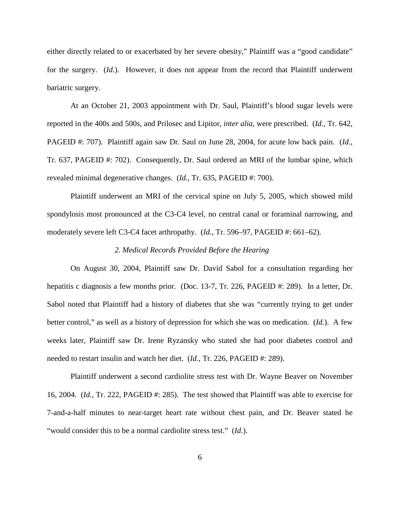either directly related to or exacerbated by her severe obesity," Plaintiff was a "good candidate" for the surgery. (*Id.*). However, it does not appear from the record that Plaintiff underwent bariatric surgery.

At an October 21, 2003 appointment with Dr. Saul, Plaintiff's blood sugar levels were reported in the 400s and 500s, and Prilosec and Lipitor, *inter alia*, were prescribed. (*Id.*, Tr. 642, PAGEID #: 707). Plaintiff again saw Dr. Saul on June 28, 2004, for acute low back pain. (*Id.*, Tr. 637, PAGEID #: 702). Consequently, Dr. Saul ordered an MRI of the lumbar spine, which revealed minimal degenerative changes. (*Id.*, Tr. 635, PAGEID #: 700).

Plaintiff underwent an MRI of the cervical spine on July 5, 2005, which showed mild spondylosis most pronounced at the C3-C4 level, no central canal or foraminal narrowing, and moderately severe left C3-C4 facet arthropathy. (*Id.*, Tr. 596–97, PAGEID #: 661–62).

## *2. Medical Records Provided Before the Hearing*

On August 30, 2004, Plaintiff saw Dr. David Sabol for a consultation regarding her hepatitis c diagnosis a few months prior. (Doc. 13-7, Tr. 226, PAGEID #: 289). In a letter, Dr. Sabol noted that Plaintiff had a history of diabetes that she was "currently trying to get under better control," as well as a history of depression for which she was on medication. (*Id.*). A few weeks later, Plaintiff saw Dr. Irene Ryzansky who stated she had poor diabetes control and needed to restart insulin and watch her diet. (*Id.*, Tr. 226, PAGEID #: 289).

Plaintiff underwent a second cardiolite stress test with Dr. Wayne Beaver on November 16, 2004. (*Id.*, Tr. 222, PAGEID #: 285). The test showed that Plaintiff was able to exercise for 7-and-a-half minutes to near-target heart rate without chest pain, and Dr. Beaver stated he "would consider this to be a normal cardiolite stress test." (*Id.*).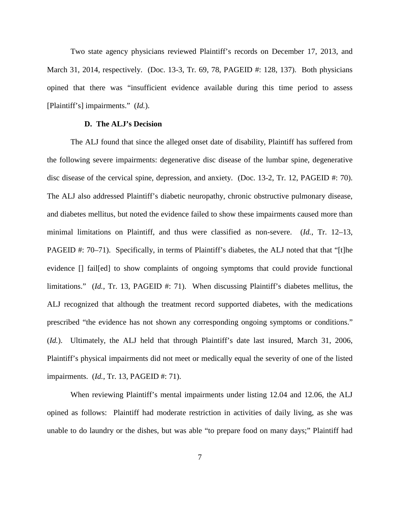Two state agency physicians reviewed Plaintiff's records on December 17, 2013, and March 31, 2014, respectively. (Doc. 13-3, Tr. 69, 78, PAGEID #: 128, 137). Both physicians opined that there was "insufficient evidence available during this time period to assess [Plaintiff's] impairments." (*Id.*).

## **D. The ALJ's Decision**

The ALJ found that since the alleged onset date of disability, Plaintiff has suffered from the following severe impairments: degenerative disc disease of the lumbar spine, degenerative disc disease of the cervical spine, depression, and anxiety. (Doc. 13-2, Tr. 12, PAGEID #: 70). The ALJ also addressed Plaintiff's diabetic neuropathy, chronic obstructive pulmonary disease, and diabetes mellitus, but noted the evidence failed to show these impairments caused more than minimal limitations on Plaintiff, and thus were classified as non-severe. (*Id.*, Tr. 12–13, PAGEID #: 70–71). Specifically, in terms of Plaintiff's diabetes, the ALJ noted that that "[t]he evidence [] fail[ed] to show complaints of ongoing symptoms that could provide functional limitations." *(Id., Tr. 13, PAGEID #: 71).* When discussing Plaintiff's diabetes mellitus, the ALJ recognized that although the treatment record supported diabetes, with the medications prescribed "the evidence has not shown any corresponding ongoing symptoms or conditions." (*Id.*). Ultimately, the ALJ held that through Plaintiff's date last insured, March 31, 2006, Plaintiff's physical impairments did not meet or medically equal the severity of one of the listed impairments. (*Id.*, Tr. 13, PAGEID #: 71).

When reviewing Plaintiff's mental impairments under listing 12.04 and 12.06, the ALJ opined as follows: Plaintiff had moderate restriction in activities of daily living, as she was unable to do laundry or the dishes, but was able "to prepare food on many days;" Plaintiff had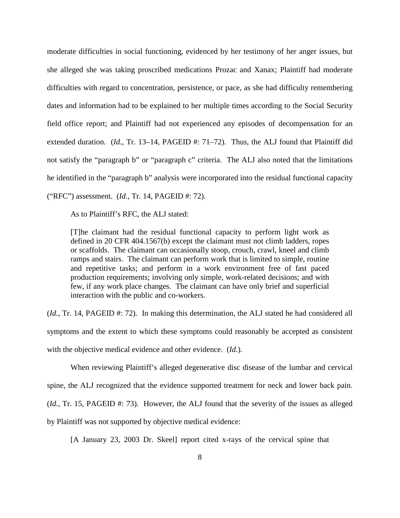moderate difficulties in social functioning, evidenced by her testimony of her anger issues, but she alleged she was taking proscribed medications Prozac and Xanax; Plaintiff had moderate difficulties with regard to concentration, persistence, or pace, as she had difficulty remembering dates and information had to be explained to her multiple times according to the Social Security field office report; and Plaintiff had not experienced any episodes of decompensation for an extended duration. (*Id.*, Tr. 13–14, PAGEID #: 71–72). Thus, the ALJ found that Plaintiff did not satisfy the "paragraph b" or "paragraph c" criteria. The ALJ also noted that the limitations he identified in the "paragraph b" analysis were incorporated into the residual functional capacity ("RFC") assessment. (*Id.*, Tr. 14, PAGEID #: 72).

As to Plaintiff's RFC, the ALJ stated:

[T]he claimant had the residual functional capacity to perform light work as defined in 20 CFR 404.1567(b) except the claimant must not climb ladders, ropes or scaffolds. The claimant can occasionally stoop, crouch, crawl, kneel and climb ramps and stairs. The claimant can perform work that is limited to simple, routine and repetitive tasks; and perform in a work environment free of fast paced production requirements; involving only simple, work-related decisions; and with few, if any work place changes. The claimant can have only brief and superficial interaction with the public and co-workers.

(*Id.*, Tr. 14, PAGEID #: 72). In making this determination, the ALJ stated he had considered all symptoms and the extent to which these symptoms could reasonably be accepted as consistent with the objective medical evidence and other evidence. (*Id.*).

When reviewing Plaintiff's alleged degenerative disc disease of the lumbar and cervical spine, the ALJ recognized that the evidence supported treatment for neck and lower back pain. (*Id.*, Tr. 15, PAGEID #: 73). However, the ALJ found that the severity of the issues as alleged by Plaintiff was not supported by objective medical evidence:

[A January 23, 2003 Dr. Skeel] report cited x-rays of the cervical spine that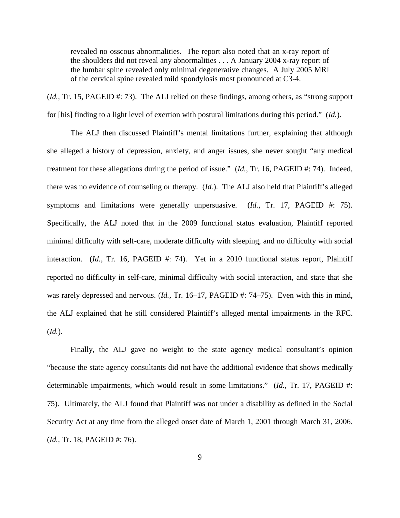revealed no osscous abnormalities. The report also noted that an x-ray report of the shoulders did not reveal any abnormalities . . . A January 2004 x-ray report of the lumbar spine revealed only minimal degenerative changes. A July 2005 MRI of the cervical spine revealed mild spondylosis most pronounced at C3-4.

(*Id.*, Tr. 15, PAGEID #: 73). The ALJ relied on these findings, among others, as "strong support for [his] finding to a light level of exertion with postural limitations during this period." (*Id.*).

The ALJ then discussed Plaintiff's mental limitations further, explaining that although she alleged a history of depression, anxiety, and anger issues, she never sought "any medical treatment for these allegations during the period of issue." (*Id.*, Tr. 16, PAGEID #: 74). Indeed, there was no evidence of counseling or therapy. (*Id.*). The ALJ also held that Plaintiff's alleged symptoms and limitations were generally unpersuasive. (*Id.*, Tr. 17, PAGEID #: 75). Specifically, the ALJ noted that in the 2009 functional status evaluation, Plaintiff reported minimal difficulty with self-care, moderate difficulty with sleeping, and no difficulty with social interaction. (*Id.*, Tr. 16, PAGEID #: 74). Yet in a 2010 functional status report, Plaintiff reported no difficulty in self-care, minimal difficulty with social interaction, and state that she was rarely depressed and nervous. (*Id.*, Tr. 16–17, PAGEID #: 74–75). Even with this in mind, the ALJ explained that he still considered Plaintiff's alleged mental impairments in the RFC. (*Id.*).

Finally, the ALJ gave no weight to the state agency medical consultant's opinion "because the state agency consultants did not have the additional evidence that shows medically determinable impairments, which would result in some limitations." (*Id.*, Tr. 17, PAGEID #: 75). Ultimately, the ALJ found that Plaintiff was not under a disability as defined in the Social Security Act at any time from the alleged onset date of March 1, 2001 through March 31, 2006. (*Id.*, Tr. 18, PAGEID #: 76).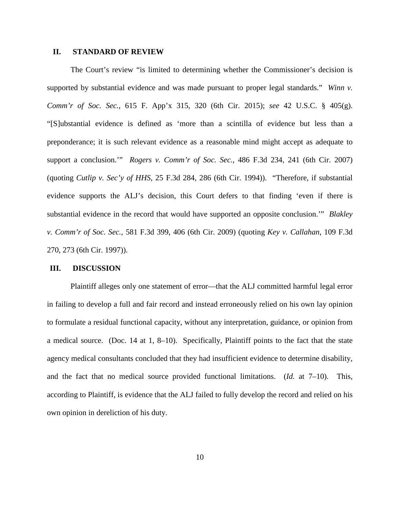# **II. STANDARD OF REVIEW**

The Court's review "is limited to determining whether the Commissioner's decision is supported by substantial evidence and was made pursuant to proper legal standards." *Winn v. Comm'r of Soc. Sec.*, 615 F. App'x 315, 320 (6th Cir. 2015); *see* 42 U.S.C. § 405(g). "[S]ubstantial evidence is defined as 'more than a scintilla of evidence but less than a preponderance; it is such relevant evidence as a reasonable mind might accept as adequate to support a conclusion.'" *Rogers v. Comm'r of Soc. Sec.*, 486 F.3d 234, 241 (6th Cir. 2007) (quoting *Cutlip v. Sec'y of HHS*, 25 F.3d 284, 286 (6th Cir. 1994)). "Therefore, if substantial evidence supports the ALJ's decision, this Court defers to that finding 'even if there is substantial evidence in the record that would have supported an opposite conclusion.'" *Blakley v. Comm'r of Soc. Sec.*, 581 F.3d 399, 406 (6th Cir. 2009) (quoting *Key v. Callahan*, 109 F.3d 270, 273 (6th Cir. 1997)).

#### **III. DISCUSSION**

Plaintiff alleges only one statement of error—that the ALJ committed harmful legal error in failing to develop a full and fair record and instead erroneously relied on his own lay opinion to formulate a residual functional capacity, without any interpretation, guidance, or opinion from a medical source. (Doc. 14 at 1, 8–10). Specifically, Plaintiff points to the fact that the state agency medical consultants concluded that they had insufficient evidence to determine disability, and the fact that no medical source provided functional limitations. (*Id.* at 7–10). This, according to Plaintiff, is evidence that the ALJ failed to fully develop the record and relied on his own opinion in dereliction of his duty.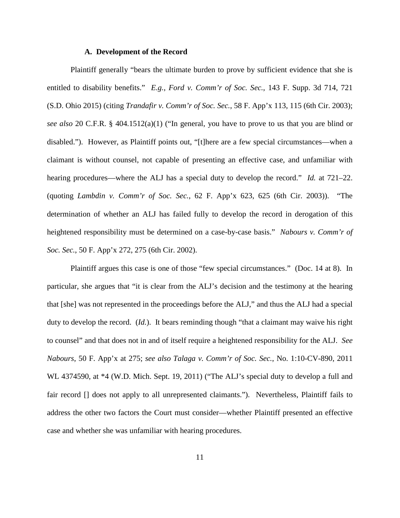## **A. Development of the Record**

Plaintiff generally "bears the ultimate burden to prove by sufficient evidence that she is entitled to disability benefits." *E.g.*, *Ford v. Comm'r of Soc. Sec.*, 143 F. Supp. 3d 714, 721 (S.D. Ohio 2015) (citing *Trandafir v. Comm'r of Soc. Sec.*, 58 F. App'x 113, 115 (6th Cir. 2003); *see also* 20 C.F.R. § 404.1512(a)(1) ("In general, you have to prove to us that you are blind or disabled."). However, as Plaintiff points out, "[t]here are a few special circumstances—when a claimant is without counsel, not capable of presenting an effective case, and unfamiliar with hearing procedures—where the ALJ has a special duty to develop the record." *Id.* at 721–22. (quoting *Lambdin v. Comm'r of Soc. Sec.*, 62 F. App'x 623, 625 (6th Cir. 2003)). "The determination of whether an ALJ has failed fully to develop the record in derogation of this heightened responsibility must be determined on a case-by-case basis." *Nabours v. Comm'r of Soc. Sec.*, 50 F. App'x 272, 275 (6th Cir. 2002).

Plaintiff argues this case is one of those "few special circumstances." (Doc. 14 at 8). In particular, she argues that "it is clear from the ALJ's decision and the testimony at the hearing that [she] was not represented in the proceedings before the ALJ," and thus the ALJ had a special duty to develop the record. (*Id.*). It bears reminding though "that a claimant may waive his right to counsel" and that does not in and of itself require a heightened responsibility for the ALJ. *See Nabours*, 50 F. App'x at 275; *see also Talaga v. Comm'r of Soc. Sec.*, No. 1:10-CV-890, 2011 WL 4374590, at  $*4$  (W.D. Mich. Sept. 19, 2011) ("The ALJ's special duty to develop a full and fair record [] does not apply to all unrepresented claimants."). Nevertheless, Plaintiff fails to address the other two factors the Court must consider—whether Plaintiff presented an effective case and whether she was unfamiliar with hearing procedures.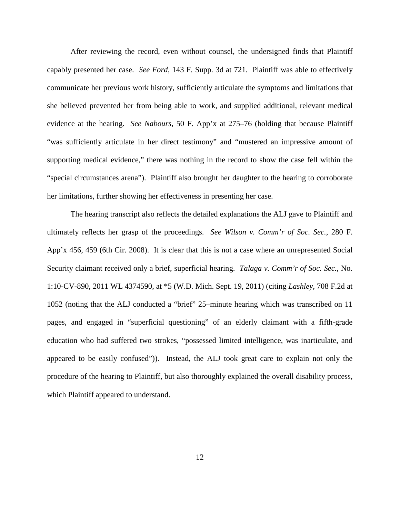After reviewing the record, even without counsel, the undersigned finds that Plaintiff capably presented her case. *See Ford*, 143 F. Supp. 3d at 721. Plaintiff was able to effectively communicate her previous work history, sufficiently articulate the symptoms and limitations that she believed prevented her from being able to work, and supplied additional, relevant medical evidence at the hearing. *See Nabours*, 50 F. App'x at 275–76 (holding that because Plaintiff "was sufficiently articulate in her direct testimony" and "mustered an impressive amount of supporting medical evidence," there was nothing in the record to show the case fell within the "special circumstances arena"). Plaintiff also brought her daughter to the hearing to corroborate her limitations, further showing her effectiveness in presenting her case.

The hearing transcript also reflects the detailed explanations the ALJ gave to Plaintiff and ultimately reflects her grasp of the proceedings. *See Wilson v. Comm'r of Soc. Sec.*, 280 F. App'x 456, 459 (6th Cir. 2008). It is clear that this is not a case where an unrepresented Social Security claimant received only a brief, superficial hearing. *Talaga v. Comm'r of Soc. Sec.*, No. 1:10-CV-890, 2011 WL 4374590, at \*5 (W.D. Mich. Sept. 19, 2011) (citing *Lashley*, 708 F.2d at 1052 (noting that the ALJ conducted a "brief" 25–minute hearing which was transcribed on 11 pages, and engaged in "superficial questioning" of an elderly claimant with a fifth-grade education who had suffered two strokes, "possessed limited intelligence, was inarticulate, and appeared to be easily confused")). Instead, the ALJ took great care to explain not only the procedure of the hearing to Plaintiff, but also thoroughly explained the overall disability process, which Plaintiff appeared to understand.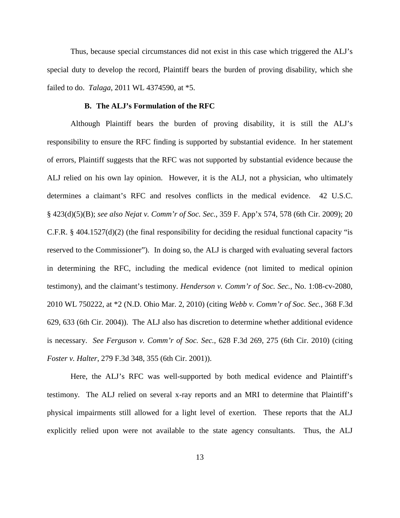Thus, because special circumstances did not exist in this case which triggered the ALJ's special duty to develop the record, Plaintiff bears the burden of proving disability, which she failed to do. *Talaga*, 2011 WL 4374590, at \*5.

## **B. The ALJ's Formulation of the RFC**

Although Plaintiff bears the burden of proving disability, it is still the ALJ's responsibility to ensure the RFC finding is supported by substantial evidence. In her statement of errors, Plaintiff suggests that the RFC was not supported by substantial evidence because the ALJ relied on his own lay opinion. However, it is the ALJ, not a physician, who ultimately determines a claimant's RFC and resolves conflicts in the medical evidence. 42 U.S.C. § 423(d)(5)(B); *see also Nejat v. Comm'r of Soc. Sec.*, 359 F. App'x 574, 578 (6th Cir. 2009); 20 C.F.R. § 404.1527(d)(2) (the final responsibility for deciding the residual functional capacity "is reserved to the Commissioner"). In doing so, the ALJ is charged with evaluating several factors in determining the RFC, including the medical evidence (not limited to medical opinion testimony), and the claimant's testimony. *Henderson v. Comm'r of Soc. Sec.*, No. 1:08-cv-2080, 2010 WL 750222, at \*2 (N.D. Ohio Mar. 2, 2010) (citing *Webb v. Comm'r of Soc. Sec.*, 368 F.3d 629, 633 (6th Cir. 2004)). The ALJ also has discretion to determine whether additional evidence is necessary. *See Ferguson v. Comm'r of Soc. Sec.*, 628 F.3d 269, 275 (6th Cir. 2010) (citing *Foster v. Halter*, 279 F.3d 348, 355 (6th Cir. 2001)).

Here, the ALJ's RFC was well-supported by both medical evidence and Plaintiff's testimony. The ALJ relied on several x-ray reports and an MRI to determine that Plaintiff's physical impairments still allowed for a light level of exertion. These reports that the ALJ explicitly relied upon were not available to the state agency consultants. Thus, the ALJ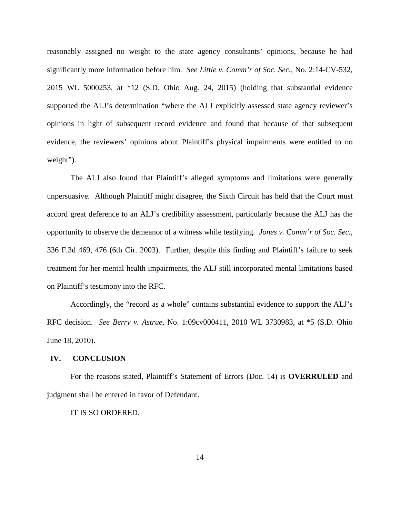reasonably assigned no weight to the state agency consultants' opinions, because he had significantly more information before him. *See Little v. Comm'r of Soc. Sec.*, No. 2:14-CV-532, 2015 WL 5000253, at \*12 (S.D. Ohio Aug. 24, 2015) (holding that substantial evidence supported the ALJ's determination "where the ALJ explicitly assessed state agency reviewer's opinions in light of subsequent record evidence and found that because of that subsequent evidence, the reviewers' opinions about Plaintiff's physical impairments were entitled to no weight").

The ALJ also found that Plaintiff's alleged symptoms and limitations were generally unpersuasive. Although Plaintiff might disagree, the Sixth Circuit has held that the Court must accord great deference to an ALJ's credibility assessment, particularly because the ALJ has the opportunity to observe the demeanor of a witness while testifying. *Jones v. Comm'r of Soc. Sec.*, 336 F.3d 469, 476 (6th Cir. 2003). Further, despite this finding and Plaintiff's failure to seek treatment for her mental health impairments, the ALJ still incorporated mental limitations based on Plaintiff's testimony into the RFC.

Accordingly, the "record as a whole" contains substantial evidence to support the ALJ's RFC decision. *See Berry v. Astrue*, No. 1:09cv000411, 2010 WL 3730983, at \*5 (S.D. Ohio June 18, 2010).

## **IV. CONCLUSION**

For the reasons stated, Plaintiff's Statement of Errors (Doc. 14) is **OVERRULED** and judgment shall be entered in favor of Defendant.

#### IT IS SO ORDERED.